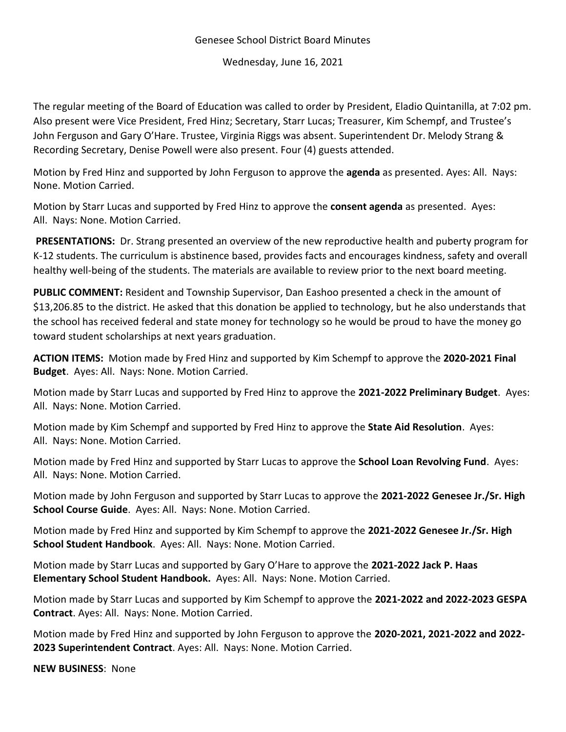## Genesee School District Board Minutes

Wednesday, June 16, 2021

The regular meeting of the Board of Education was called to order by President, Eladio Quintanilla, at 7:02 pm. Also present were Vice President, Fred Hinz; Secretary, Starr Lucas; Treasurer, Kim Schempf, and Trustee's John Ferguson and Gary O'Hare. Trustee, Virginia Riggs was absent. Superintendent Dr. Melody Strang & Recording Secretary, Denise Powell were also present. Four (4) guests attended.

Motion by Fred Hinz and supported by John Ferguson to approve the **agenda** as presented. Ayes: All. Nays: None. Motion Carried.

Motion by Starr Lucas and supported by Fred Hinz to approve the **consent agenda** as presented. Ayes: All. Nays: None. Motion Carried.

**PRESENTATIONS:** Dr. Strang presented an overview of the new reproductive health and puberty program for K-12 students. The curriculum is abstinence based, provides facts and encourages kindness, safety and overall healthy well-being of the students. The materials are available to review prior to the next board meeting.

**PUBLIC COMMENT:** Resident and Township Supervisor, Dan Eashoo presented a check in the amount of \$13,206.85 to the district. He asked that this donation be applied to technology, but he also understands that the school has received federal and state money for technology so he would be proud to have the money go toward student scholarships at next years graduation.

**ACTION ITEMS:** Motion made by Fred Hinz and supported by Kim Schempf to approve the **2020-2021 Final Budget**. Ayes: All. Nays: None. Motion Carried.

Motion made by Starr Lucas and supported by Fred Hinz to approve the **2021-2022 Preliminary Budget**. Ayes: All. Nays: None. Motion Carried.

Motion made by Kim Schempf and supported by Fred Hinz to approve the **State Aid Resolution**. Ayes: All. Nays: None. Motion Carried.

Motion made by Fred Hinz and supported by Starr Lucas to approve the **School Loan Revolving Fund**. Ayes: All. Nays: None. Motion Carried.

Motion made by John Ferguson and supported by Starr Lucas to approve the **2021-2022 Genesee Jr./Sr. High School Course Guide**. Ayes: All. Nays: None. Motion Carried.

Motion made by Fred Hinz and supported by Kim Schempf to approve the **2021-2022 Genesee Jr./Sr. High School Student Handbook**. Ayes: All. Nays: None. Motion Carried.

Motion made by Starr Lucas and supported by Gary O'Hare to approve the **2021-2022 Jack P. Haas Elementary School Student Handbook.** Ayes: All. Nays: None. Motion Carried.

Motion made by Starr Lucas and supported by Kim Schempf to approve the **2021-2022 and 2022-2023 GESPA Contract**. Ayes: All. Nays: None. Motion Carried.

Motion made by Fred Hinz and supported by John Ferguson to approve the **2020-2021, 2021-2022 and 2022- 2023 Superintendent Contract**. Ayes: All. Nays: None. Motion Carried.

**NEW BUSINESS**: None